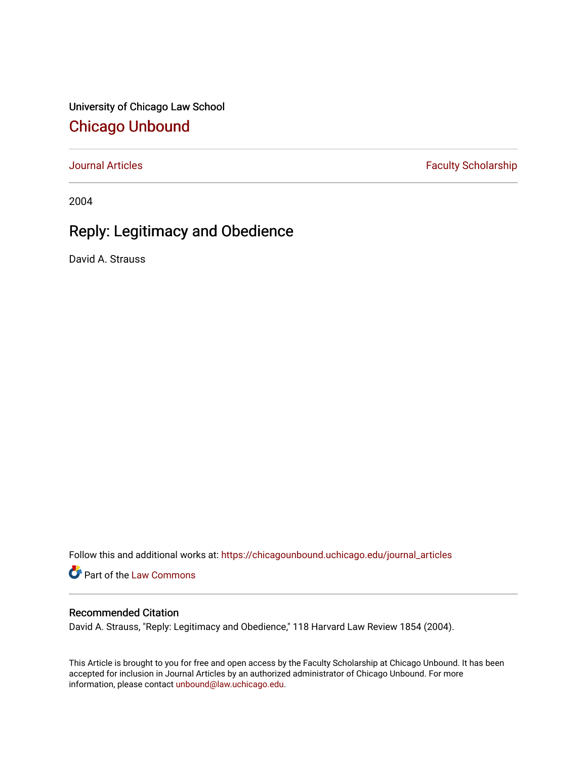University of Chicago Law School [Chicago Unbound](https://chicagounbound.uchicago.edu/)

[Journal Articles](https://chicagounbound.uchicago.edu/journal_articles) **Faculty Scholarship Faculty Scholarship** 

2004

# Reply: Legitimacy and Obedience

David A. Strauss

Follow this and additional works at: [https://chicagounbound.uchicago.edu/journal\\_articles](https://chicagounbound.uchicago.edu/journal_articles?utm_source=chicagounbound.uchicago.edu%2Fjournal_articles%2F2008&utm_medium=PDF&utm_campaign=PDFCoverPages) 

Part of the [Law Commons](http://network.bepress.com/hgg/discipline/578?utm_source=chicagounbound.uchicago.edu%2Fjournal_articles%2F2008&utm_medium=PDF&utm_campaign=PDFCoverPages)

# Recommended Citation

David A. Strauss, "Reply: Legitimacy and Obedience," 118 Harvard Law Review 1854 (2004).

This Article is brought to you for free and open access by the Faculty Scholarship at Chicago Unbound. It has been accepted for inclusion in Journal Articles by an authorized administrator of Chicago Unbound. For more information, please contact [unbound@law.uchicago.edu](mailto:unbound@law.uchicago.edu).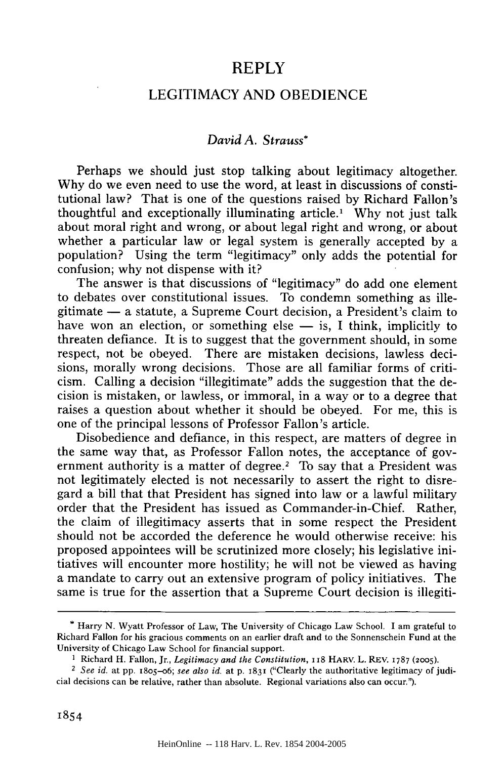# REPLY

# LEGITIMACY AND OBEDIENCE

## *David A. Strauss\**

Perhaps we should just stop talking about legitimacy altogether. Why do we even need to use the word, at least in discussions of constitutional law? That is one of the questions raised by Richard Fallon's thoughtful and exceptionally illuminating article.' Why not just talk about moral right and wrong, or about legal right and wrong, or about whether a particular law or legal system is generally accepted by a population? Using the term "legitimacy" only adds the potential for confusion; why not dispense with it?

The answer is that discussions of "legitimacy" do add one element to debates over constitutional issues. To condemn something as illegitimate  $-$  a statute, a Supreme Court decision, a President's claim to have won an election, or something else  $-$  is, I think, implicitly to threaten defiance. It is to suggest that the government should, in some respect, not be obeyed. There are mistaken decisions, lawless decisions, morally wrong decisions. Those are all familiar forms of criticism. Calling a decision "illegitimate" adds the suggestion that the decision is mistaken, or lawless, or immoral, in a way or to a degree that raises a question about whether it should be obeyed. For me, this is one of the principal lessons of Professor Fallon's article.

Disobedience and defiance, in this respect, are matters of degree in the same way that, as Professor Fallon notes, the acceptance of government authority is a matter of degree.' To say that a President was not legitimately elected is not necessarily to assert the right to disregard a bill that that President has signed into law or a lawful military order that the President has issued as Commander-in-Chief. Rather, the claim of illegitimacy asserts that in some respect the President should not be accorded the deference he would otherwise receive: his proposed appointees will be scrutinized more closely; his legislative initiatives will encounter more hostility; he will not be viewed as having a mandate to carry out an extensive program of policy initiatives. The same is true for the assertion that a Supreme Court decision is illegiti-

**<sup>\*</sup>** Harry N. Wyatt Professor of Law, The University of Chicago Law School. I am grateful to Richard Fallon for his gracious comments on an earlier draft and to the Sonnenschein Fund at the University of Chicago Law School for financial support.

**<sup>1</sup>** Richard H. Fallon, Jr., *Legitimacy and the Constitution,* i 18 HARv. L. REv. **1787 (2005).**

*<sup>2</sup> See id.* at pp. 18o5-o6; *see also id.* at p. 1831 ("Clearly the authoritative legitimacy of judicial decisions can be relative, rather than absolute. Regional variations also can occur.").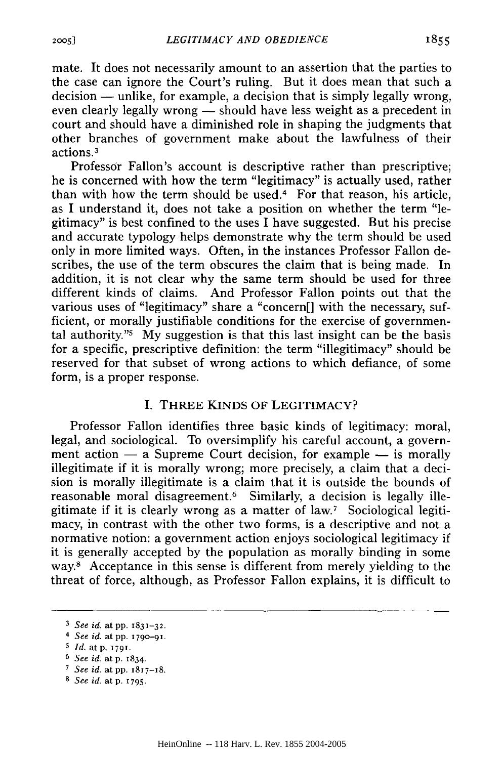mate. It does not necessarily amount to an assertion that the parties to the case can ignore the Court's ruling. But it does mean that such a  $decision$  — unlike, for example, a decision that is simply legally wrong, even clearly legally wrong - should have less weight as a precedent in court and should have a diminished role in shaping the judgments that other branches of government make about the lawfulness of their actions. <sup>3</sup>

Professor Fallon's account is descriptive rather than prescriptive; he is concerned with how the term "legitimacy" is actually used, rather than with how the term should be used. $4$  For that reason, his article, as I understand it, does not take a position on whether the term "legitimacy" is best confined to the uses I have suggested. But his precise and accurate typology helps demonstrate why the term should be used only in more limited ways. Often, in the instances Professor Fallon describes, the use of the term obscures the claim that is being made. In addition, it is not clear why the same term should be used for three different kinds of claims. And Professor Fallon points out that the various uses of "legitimacy" share a "concern[] with the necessary, sufficient, or morally justifiable conditions for the exercise of governmental authority."s My suggestion is that this last insight can be the basis for a specific, prescriptive definition: the term "illegitimacy" should be reserved for that subset of wrong actions to which defiance, of some form, is a proper response.

# *I.* THREE KINDS OF LEGITIMACY?

Professor Fallon identifies three basic kinds of legitimacy: moral, legal, and sociological. To oversimplify his careful account, a government action  $-$  a Supreme Court decision, for example  $-$  is morally illegitimate if it is morally wrong; more precisely, a claim that a decision is morally illegitimate is a claim that it is outside the bounds of reasonable moral disagreement.6 Similarly, a decision is legally illegitimate if it is clearly wrong as a matter of law.7 Sociological legitimacy, in contrast with the other two forms, is a descriptive and not a normative notion: a government action enjoys sociological legitimacy if it is generally accepted by the population as morally binding in some way.8 Acceptance in this sense is different from merely yielding to the threat of force, although, as Professor Fallon explains, it is difficult to

**<sup>3</sup>***See id.* at pp. 1831-32.

<sup>4</sup> *See id.* at pp. **1790-91.**

*<sup>5</sup> Id.* at **p. 1791.**

**<sup>6</sup>***See id.* at p. 1834.

**<sup>7</sup>** *See id.* at pp. **1817-I8.**

**<sup>8</sup>***See id.* atp. 1795.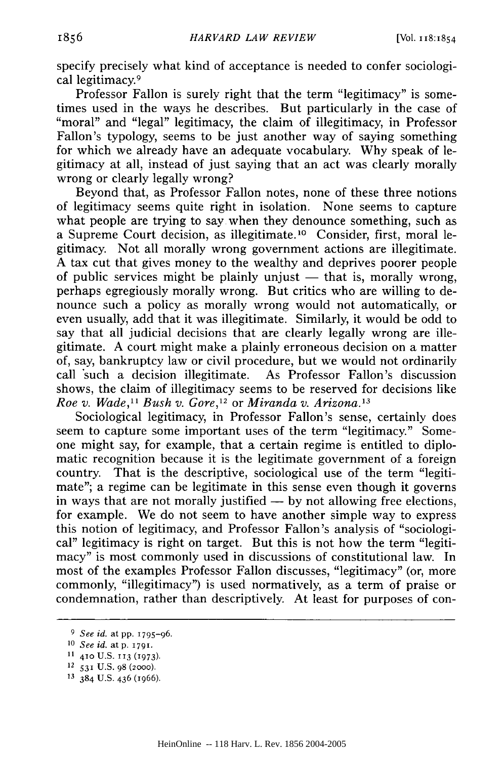specify precisely what kind of acceptance is needed to confer sociological legitimacy.9

Professor Fallon is surely right that the term "legitimacy" is sometimes used in the ways he describes. But particularly in the case of "moral" and "legal" legitimacy, the claim of illegitimacy, in Professor Fallon's typology, seems to be just another way of saying something for which we already have an adequate vocabulary. Why speak of legitimacy at all, instead of just saying that an act was clearly morally wrong or clearly legally wrong?

Beyond that, as Professor Fallon notes, none of these three notions of legitimacy seems quite right in isolation. None seems to capture what people are trying to say when they denounce something, such as a Supreme Court decision, as illegitimate. 10 Consider, first, moral legitimacy. Not all morally wrong government actions are illegitimate. A tax cut that gives money to the wealthy and deprives poorer people of public services might be plainly unjust  $-$  that is, morally wrong, perhaps egregiously morally wrong. But critics who are willing to denounce such a policy as morally wrong would not automatically, or even usually, add that it was illegitimate. Similarly, it would be odd to say that all judicial decisions that are clearly legally wrong are illegitimate. A court might make a plainly erroneous decision on a matter of, say, bankruptcy law or civil procedure, but we would not ordinarily call such a decision illegitimate. As Professor Fallon's discussion shows, the claim of illegitimacy seems to be reserved for decisions like *Roe v. Wade*,<sup>11</sup> Bush v. Gore,<sup>12</sup> or *Miranda v. Arizona*.<sup>13</sup>

Sociological legitimacy, in Professor Fallon's sense, certainly does seem to capture some important uses of the term "legitimacy." Someone might say, for example, that a certain regime is entitled to diplomatic recognition because it is the legitimate government of a foreign country. That is the descriptive, sociological use of the term "legitimate"; a regime can be legitimate in this sense even though it governs in ways that are not morally justified — by not allowing free elections, for example. We do not seem to have another simple way to express this notion of legitimacy, and Professor Fallon's analysis of "sociological" legitimacy is right on target. But this is not how the term "legitimacy" is most commonly used in discussions of constitutional law. In most of the examples Professor Fallon discusses, "legitimacy" (or, more commonly, "illegitimacy") is used normatively, as a term of praise or condemnation, rather than descriptively. At least for purposes of con-

*<sup>9</sup> See id.* at pp. **1795-96.**

<sup>10</sup> See id. at p. 1791.

**<sup>11</sup>**410U.S. **113** (1973).

*<sup>12</sup>***531** U.S. **98** (2000).

**<sup>13</sup>**384 U.S. 436 (i966).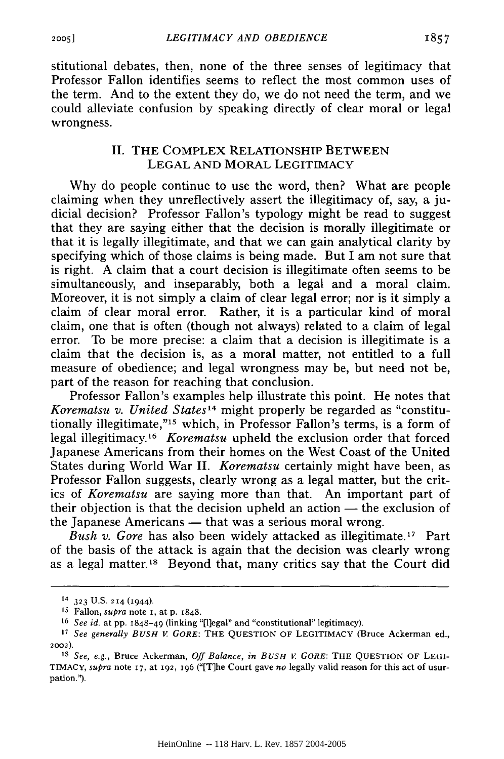stitutional debates, then, none of the three senses of legitimacy that Professor Fallon identifies seems to reflect the most common uses of the term. And to the extent they do, we do not need the term, and we could alleviate confusion by speaking directly of clear moral or legal wrongness.

## **II.** THE COMPLEX RELATIONSHIP **BETWEEN LEGAL AND** MORAL **LEGITIMACY**

Why do people continue to use the word, then? What are people claiming when they unreflectively assert the illegitimacy of, say, a judicial decision? Professor Fallon's typology might be read to suggest that they are saying either that the decision is morally illegitimate or that it is legally illegitimate, and that we can gain analytical clarity by specifying which of those claims is being made. But I am not sure that is right. A claim that a court decision is illegitimate often seems to be simultaneously, and inseparably, both a legal and a moral claim. Moreover, it is not simply a claim of clear legal error; nor is it simply a claim **of** clear moral error. Rather, it is a particular kind of moral claim, one that is often (though not always) related to a claim of legal error. To be more precise: a claim that a decision is illegitimate is a claim that the decision is, as a moral matter, not entitled to a full measure of obedience; and legal wrongness may be, but need not be, part of the reason for reaching that conclusion.

Professor Fallon's examples help illustrate this point. He notes that *Korematsu v. United States' <sup>4</sup>*might properly be regarded as "constitutionally illegitimate,"<sup>15</sup> which, in Professor Fallon's terms, is a form of legal illegitimacy. <sup>16</sup>*Korematsu* upheld the exclusion order that forced Japanese Americans from their homes on the West Coast of the United States during World War II. *Korematsu* certainly might have been, as Professor Fallon suggests, clearly wrong as a legal matter, but the critics of *Korematsu* are saying more than that. An important part of their objection is that the decision upheld an action **-** the exclusion of the Japanese Americans — that was a serious moral wrong.

*Bush v. Gore* has also been widely attacked as illegitimate.<sup>17</sup> Part of the basis of the attack is again that the decision was clearly wrong as a legal matter.<sup>18</sup> Beyond that, many critics say that the Court did

<sup>14</sup>**323** U.S. **214 (I944).**

**<sup>15</sup>**Fallon, *supra* note I, at p. 1848.

**<sup>16</sup>***See id.* at pp. 1848-49 (linking "[legal" and "constitutional" legitimacy).

**<sup>17</sup>***See generally BUSH v GORE:* THE **QUESTION** OF LEGITIMACY (Bruce Ackerman ed., 2002).

*Is See, e.g.,* Bruce Ackerman, Off *Balance, in BUSH V GORE:* **THE QUESTION** OF **LEGI-**TIMACY, *supra* note **17,** at **192, 196** ("[T]he Court gave *no* legally valid reason **for** this **act** of usurpation.").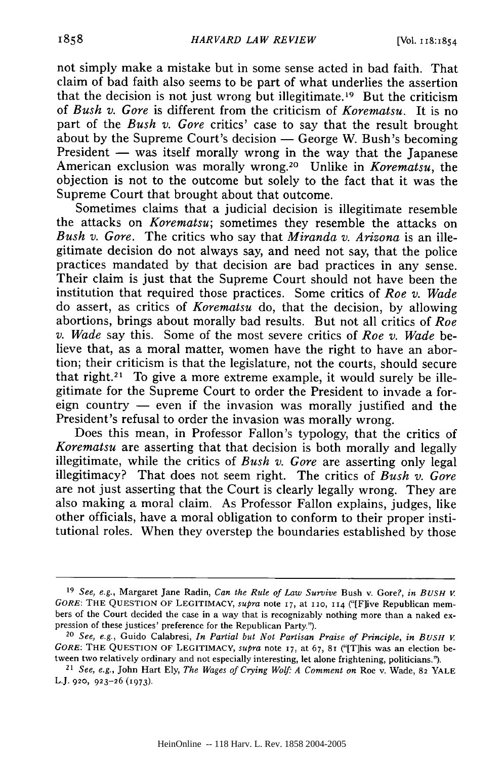not simply make a mistake but in some sense acted in bad faith. That claim of bad faith also seems to be part of what underlies the assertion that the decision is not just wrong but illegitimate.<sup>19</sup> But the criticism of *Bush v. Gore* is different from the criticism of *Korematsu.* It is no part of the *Bush v. Gore* critics' case to say that the result brought about by the Supreme Court's decision  $-$  George W. Bush's becoming President  $-$  was itself morally wrong in the way that the Japanese American exclusion was morally wrong.20 Unlike in *Korematsu,* the objection is not to the outcome but solely to the fact that it was the Supreme Court that brought about that outcome.

Sometimes claims that a judicial decision is illegitimate resemble the attacks on *Korematsu;* sometimes they resemble the attacks on *Bush v. Gore.* The critics who say that *Miranda v. Arizona* is an illegitimate decision do not always say, and need not say, that the police practices mandated by that decision are bad practices in any sense. Their claim is just that the Supreme Court should not have been the institution that required those practices. Some critics of *Roe v. Wade* do assert, as critics of *Korematsu* do, that the decision, by allowing abortions, brings about morally bad results. But not all critics of *Roe v. Wade* say this. Some of the most severe critics of *Roe v. Wade* believe that, as a moral matter, women have the right to have an abortion; their criticism is that the legislature, not the courts, should secure that right.<sup>21</sup> To give a more extreme example, it would surely be illegitimate for the Supreme Court to order the President to invade a foreign country  $-$  even if the invasion was morally justified and the President's refusal to order the invasion was morally wrong.

Does this mean, in Professor Fallon's typology, that the critics of *Korematsu* are asserting that that decision is both morally and legally illegitimate, while the critics of *Bush v. Gore* are asserting only legal illegitimacy? That does not seem right. The critics of *Bush v. Gore* are not just asserting that the Court is clearly legally wrong. They are also making a moral claim. As Professor Fallon explains, judges, like other officials, have a moral obligation to conform to their proper institutional roles. When they overstep the boundaries established by those

*<sup>19</sup>See, e.g.,* Margaret Jane Radin, *Can the Rule of Law Survive* Bush **v. Gore?,** *in BUSH V GORE:* **THE QUESTION OF LEGITIMACY,** *supra* note 17, at 11o, **114 ("[F]ive** Republican members of the Court decided the case in a way that is recognizably nothing more than a naked **ex pression of these justices' preference for the Republican Party.").**

*<sup>20</sup>See, e.g.,* **Guido Calabresi,** *In Partial but Not Partisan Praise of Principle, in BUSH V. GORE:* **THE QUESTION OF LEGITIMACY,** *supra* note **I7,** at **67,** 8i ("[T]his was an election between two relatively ordinary and not especially interesting, let alone frightening, politicians.").

*<sup>21</sup>See, e.g.,* John Hart **Ely,** *The Wages of Crying Wolf: A Comment on* Roe v. Wade, **82** YALE L.J. 920, 923-26 (1973).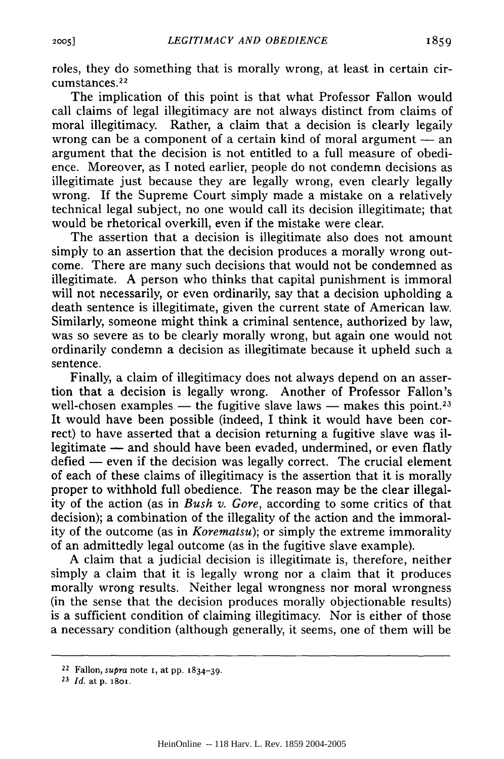roles, they do something that is morally wrong, at least in certain circumstances.<sup>22</sup>

The implication of this point is that what Professor Fallon would call claims of legal illegitimacy are not always distinct from claims of moral illegitimacy. Rather, a claim that a decision is clearly legally wrong can be a component of a certain kind of moral argument  $-$  an argument that the decision is not entitled to a full measure of obedience. Moreover, as I noted earlier, people do not condemn decisions as illegitimate just because they are legally wrong, even clearly legally wrong. If the Supreme Court simply made a mistake on a relatively technical legal subject, no one would call its decision illegitimate; that would be rhetorical overkill, even if the mistake were clear.

The assertion that a decision is illegitimate also does not amount simply to an assertion that the decision produces a morally wrong outcome. There are many such decisions that would not be condemned as illegitimate. A person who thinks that capital punishment is immoral will not necessarily, or even ordinarily, say that a decision upholding a death sentence is illegitimate, given the current state of American law. Similarly, someone might think a criminal sentence, authorized by law, was so severe as to be clearly morally wrong, but again one would not ordinarily condemn a decision as illegitimate because it upheld such a sentence.

Finally, a claim of illegitimacy does not always depend on an assertion that a decision is legally wrong. Another of Professor Fallon's well-chosen examples  $-$  the fugitive slave laws  $-$  makes this point.<sup>23</sup> It would have been possible (indeed, I think it would have been correct) to have asserted that a decision returning a fugitive slave was illegitimate **-** and should have been evaded, undermined, or even flatly defied **-** even if the decision was legally correct. The crucial element of each of these claims of illegitimacy is the assertion that it is morally proper to withhold full obedience. The reason may be the clear illegality of the action (as in *Bush v. Gore,* according to some critics of that decision); a combination of the illegality of the action and the immorality of the outcome (as in *Korematsu);* or simply the extreme immorality of an admittedly legal outcome (as in the fugitive slave example).

A claim that a judicial decision is illegitimate is, therefore, neither simply a claim that it is legally wrong nor a claim that it produces morally wrong results. Neither legal wrongness nor moral wrongness (in the sense that the decision produces morally objectionable results) is a sufficient condition of claiming illegitimacy. Nor is either of those a necessary condition (although generally, it seems, one of them will be

<sup>22</sup> Fallon, *supra* note i, at pp. 1834-39.

*<sup>23</sup>Id.* at p. i8oi.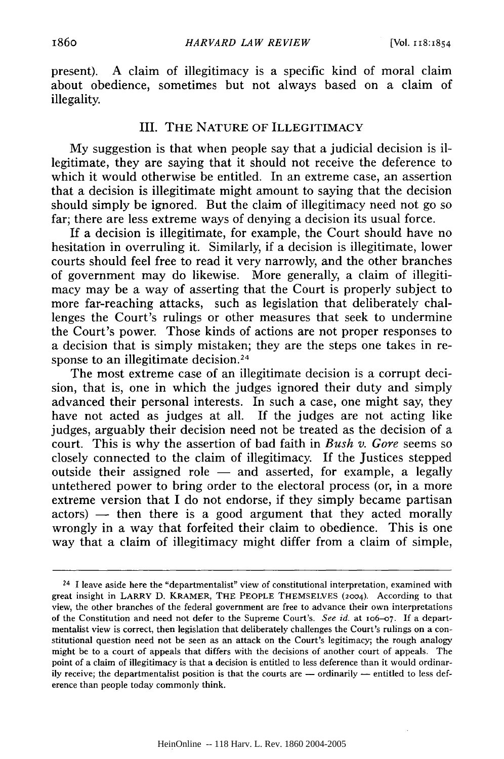present). **A** claim of illegitimacy is a specific kind of moral claim about obedience, sometimes but not always based on a claim of illegality.

### III. THE NATURE OF ILLEGITIMACY

My suggestion is that when people say that a judicial decision is illegitimate, they are saying that it should not receive the deference to which it would otherwise be entitled. In an extreme case, an assertion that a decision is illegitimate might amount to saying that the decision should simply be ignored. But the claim of illegitimacy need not go so far; there are less extreme ways of denying a decision its usual force.

If a decision is illegitimate, for example, the Court should have no hesitation in overruling it. Similarly, if a decision is illegitimate, lower courts should feel free to read it very narrowly, and the other branches of government may do likewise. More generally, a claim of illegitimacy may be a way of asserting that the Court is properly subject to more far-reaching attacks, such as legislation that deliberately challenges the Court's rulings or other measures that seek to undermine the Court's power. Those kinds of actions are not proper responses to a decision that is simply mistaken; they are the steps one takes in response to an illegitimate decision.<sup>24</sup>

The most extreme case of an illegitimate decision is a corrupt decision, that is, one in which the judges ignored their duty and simply advanced their personal interests. In such a case, one might say, they have not acted as judges at all. If the judges are not acting like judges, arguably their decision need not be treated as the decision of a court. This is why the assertion of bad faith in *Bush v. Gore* seems so closely connected to the claim of illegitimacy. If the Justices stepped outside their assigned role  $-$  and asserted, for example, a legally untethered power to bring order to the electoral process (or, in a more extreme version that I do not endorse, if they simply became partisan  $actors$  - then there is a good argument that they acted morally wrongly in a way that forfeited their claim to obedience. This is one way that a claim of illegitimacy might differ from a claim of simple,

<sup>24</sup>**I** leave aside here the "departmentalist" view of constitutional interpretation, examined with great insight in LARRY **D.** KRAMER, THE PEOPLE **THEMSELVES** (2004). According to that view, the other branches of the federal government are free to advance their own interpretations of the Constitution and need not defer to the Supreme Court's. See id. at 106-07. If a departmentalist view is correct, then legislation that deliberately challenges the Court's rulings on a constitutional question need not be seen as an attack on the Court's legitimacy; the rough analogy might be to a court of appeals that differs with the decisions of another court of appeals. The point of a claim of illegitimacy is that a decision is entitled to less deference than it would ordinarily receive; the departmentalist position is that the courts are  $-$  ordinarily  $-$  entitled to less deference than people today commonly think.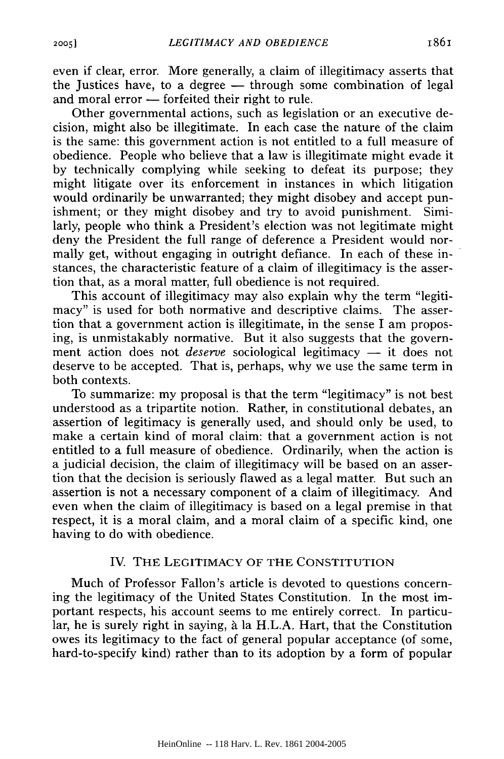even if clear, error. More generally, a claim of illegitimacy asserts that the Justices have, to a degree  $-$  through some combination of legal and moral error - forfeited their right to rule.

Other governmental actions, such as legislation or an executive decision, might also be illegitimate. In each case the nature of the claim is the same: this government action is not entitled to a full measure of obedience. People who believe that a law is illegitimate might evade it by technically complying while seeking to defeat its purpose; they might litigate over its enforcement in instances in which litigation would ordinarily be unwarranted; they might disobey and accept punishment; or they might disobey and try to avoid punishment. Similarly, people who think a President's election was not legitimate might deny the President the full range of deference a President would normally get, without engaging in outright defiance. In each of these instances, the characteristic feature of a claim of illegitimacy is the assertion that, as a moral matter, full obedience is not required.

This account of illegitimacy may also explain why the term "legitimacy" is used for both normative and descriptive claims. The assertion that a government action is illegitimate, in the sense I am proposing, is unmistakably normative. But it also suggests that the government action does not *deserve* sociological legitimacy — it does not deserve to be accepted. That is, perhaps, why we use the same term in both contexts.

To summarize: my proposal is that the term "legitimacy" is not best understood as a tripartite notion. Rather, in constitutional debates, an assertion of legitimacy is generally used, and should only be used, to make a certain kind of moral claim: that a government action is not entitled to a full measure of obedience. Ordinarily, when the action is a judicial decision, the claim of illegitimacy will be based on an assertion that the decision is seriously flawed as a legal matter. But such an assertion is not a necessary component of a claim of illegitimacy. And even when the claim of illegitimacy is based on a legal premise in that respect, it is a moral claim, and a moral claim of a specific kind, one having to do with obedience.

### IV. THE LEGITIMACY OF THE **CONSTITUTION**

Much of Professor Fallon's article is devoted to questions concerning the legitimacy of the United States Constitution. In the most important respects, his account seems to me entirely correct. In particular, he is surely right in saying, **A** la H.L.A. Hart, that the Constitution owes its legitimacy to the fact of general popular acceptance (of some, hard-to-specify kind) rather than to its adoption by a form of popular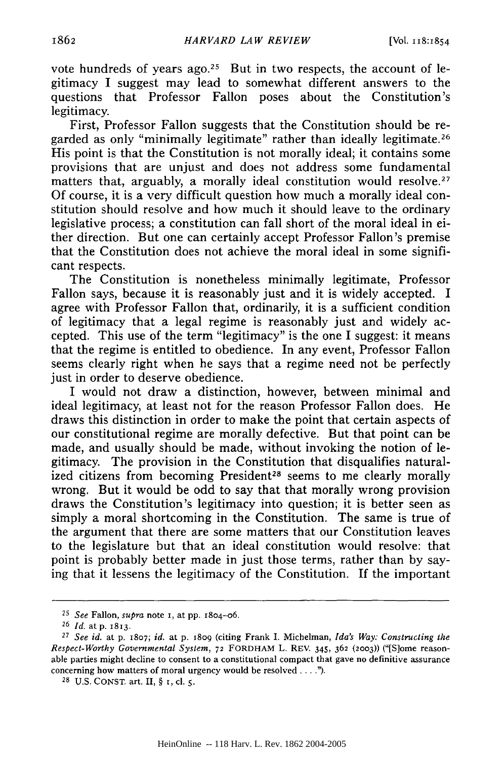vote hundreds of years ago.<sup>25</sup> But in two respects, the account of legitimacy I suggest may lead to somewhat different answers to the questions that Professor Fallon poses about the Constitution's legitimacy.

First, Professor Fallon suggests that the Constitution should be regarded as only "minimally legitimate" rather than ideally legitimate. <sup>26</sup> His point is that the Constitution is not morally ideal; it contains some provisions that are unjust and does not address some fundamental matters that, arguably, a morally ideal constitution would resolve.  $2^7$ Of course, it is a very difficult question how much a morally ideal constitution should resolve and how much it should leave to the ordinary legislative process; a constitution can fall short of the moral ideal in either direction. But one can certainly accept Professor Fallon's premise that the Constitution does not achieve the moral ideal in some significant respects.

The Constitution is nonetheless minimally legitimate, Professor Fallon says, because it is reasonably just and it is widely accepted. I agree with Professor Fallon that, ordinarily, it is a sufficient condition of legitimacy that a legal regime is reasonably just and widely accepted. This use of the term "legitimacy" is the one I suggest: it means that the regime is entitled to obedience. In any event, Professor Fallon seems clearly right when he says that a regime need not be perfectly just in order to deserve obedience.

I would not draw a distinction, however, between minimal and ideal legitimacy, at least not for the reason Professor Fallon does. He draws this distinction in order to make the point that certain aspects of our constitutional regime are morally defective. But that point can be made, and usually should be made, without invoking the notion of legitimacy. The provision in the Constitution that disqualifies naturalized citizens from becoming President<sup>28</sup> seems to me clearly morally wrong. But it would be odd to say that that morally wrong provision draws the Constitution's legitimacy into question; it is better seen as simply a moral shortcoming in the Constitution. The same is true of the argument that there are some matters that our Constitution leaves to the legislature but that an ideal constitution would resolve: that point is probably better made in just those terms, rather than **by** saying that it lessens the legitimacy of the Constitution. If the important

*<sup>25</sup>See* Fallon, *supra* note i, at pp. 1804-o6.

**<sup>26</sup>***Id.* at p. **1813.**

**<sup>27</sup>***See id.* at p. 1807; *id.* at p. 18og (citing Frank I. Michelman, *Ida's Way: Constructing the Respect-Worthy Governmental System,* 72 FORDHAM L. REV. 345, **362 (2003))** ("[Sjome reasonable parties might decline to consent to a constitutional compact that gave no definitive assurance concerning how matters of moral urgency would be resolved **.....**

**<sup>28</sup>**U.S. CONST. art. II, § **1, cl. 5.**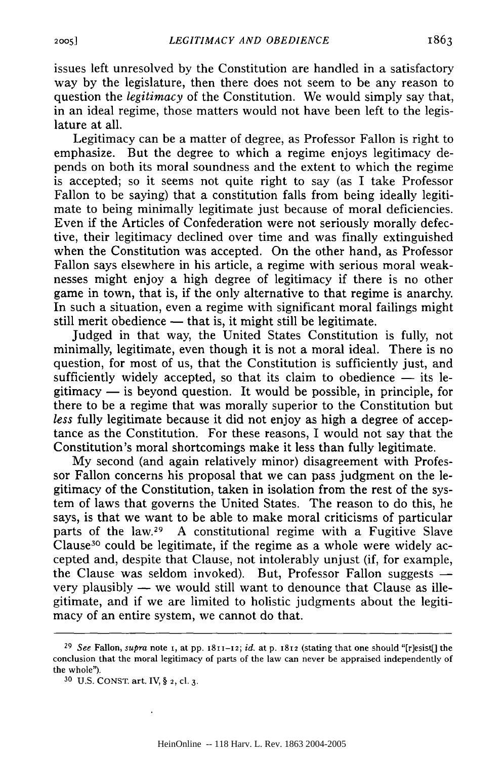issues left unresolved by the Constitution are handled in a satisfactory way by the legislature, then there does not seem to be any reason to question the *legitimacy* of the Constitution. We would simply say that, in an ideal regime, those matters would not have been left to the legislature at all.

Legitimacy can be a matter of degree, as Professor Fallon is right to emphasize. But the degree to which a regime enjoys legitimacy depends on both its moral soundness and the extent to which the regime is accepted; so it seems not quite right to say (as I take Professor Fallon to be saying) that a constitution falls from being ideally legitimate to being minimally legitimate just because of moral deficiencies. Even if the Articles of Confederation were not seriously morally defective, their legitimacy declined over time and was finally extinguished when the Constitution was accepted. On the other hand, as Professor Fallon says elsewhere in his article, a regime with serious moral weaknesses might enjoy a high degree of legitimacy if there is no other game in town, that is, if the only alternative to that regime is anarchy. In such a situation, even a regime with significant moral failings might still merit obedience  $-$  that is, it might still be legitimate.

Judged in that way, the United States Constitution is fully, not minimally, legitimate, even though it is not a moral ideal. There is no question, for most of us, that the Constitution is sufficiently just, and sufficiently widely accepted, so that its claim to obedience  $-$  its legitimacy  $-$  is beyond question. It would be possible, in principle, for there to be a regime that was morally superior to the Constitution but *less* fully legitimate because it did not enjoy as high a degree of acceptance as the Constitution. For these reasons, I would not say that the Constitution's moral shortcomings make it less than fully legitimate.

My second (and again relatively minor) disagreement with Professor Fallon concerns his proposal that we can pass judgment on the legitimacy of the Constitution, taken in isolation from the rest of the system of laws that governs the United States. The reason to do this, he says, is that we want to be able to make moral criticisms of particular parts of the law.<sup>29</sup> A constitutional regime with a Fugitive Slave Clause<sup>30</sup> could be legitimate, if the regime as a whole were widely accepted and, despite that Clause, not intolerably unjust (if, for example, the Clause was seldom invoked). But, Professor Fallon suggests  very plausibly  $-$  we would still want to denounce that Clause as illegitimate, and if we are limited to holistic judgments about the legitimacy of an entire system, we cannot do that.

**<sup>29</sup>***See* Fallon, *supra* note i, at **pp.** 18il-12; *id.* at **p. 181** (stating that one should "[r]esist[] the conclusion that the moral legitimacy of parts of the law can never be appraised independently of the whole").

**<sup>30</sup>**U.S. CONST. art. IV, § 2, cl. 3.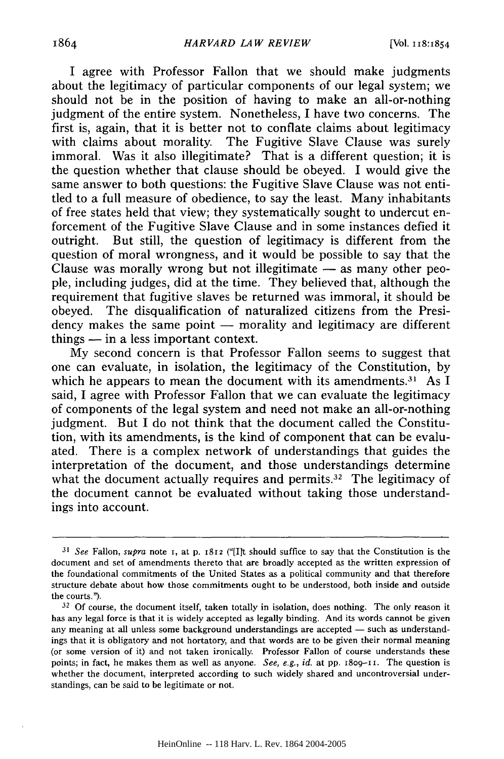I agree with Professor Fallon that we should make judgments about the legitimacy of particular components of our legal system; we should not be in the position of having to make an all-or-nothing judgment of the entire system. Nonetheless, I have two concerns. The first is, again, that it is better not to conflate claims about legitimacy with claims about morality. The Fugitive Slave Clause was surely immoral. Was it also illegitimate? That is a different question; it is the question whether that clause should be obeyed. I would give the same answer to both questions: the Fugitive Slave Clause was not entitled to a full measure of obedience, to say the least. Many inhabitants of free states held that view; they systematically sought to undercut enforcement of the Fugitive Slave Clause and in some instances defied it outright. But still, the question of legitimacy is different from the question of moral wrongness, and it would be possible to say that the Clause was morally wrong but not illegitimate  $-$  as many other people, including judges, did at the time. They believed that, although the requirement that fugitive slaves be returned was immoral, it should be obeyed. The disqualification of naturalized citizens from the Presidency makes the same point  $-$  morality and legitimacy are different things — in a less important context.

My second concern is that Professor Fallon seems to suggest that one can evaluate, in isolation, the legitimacy of the Constitution, by which he appears to mean the document with its amendments.<sup>31</sup> As I said, I agree with Professor Fallon that we can evaluate the legitimacy of components of the legal system and need not make an all-or-nothing judgment. But I do not think that the document called the Constitution, with its amendments, is the kind of component that can be evaluated. There is a complex network of understandings that guides the interpretation of the document, and those understandings determine what the document actually requires and permits.<sup>32</sup> The legitimacy of the document cannot be evaluated without taking those understandings into account.

**<sup>31</sup>***See* Fallon, *supra* note I, at p. 1812 ("[I]t should suffice to say that the Constitution is the document and set of amendments thereto that are broadly accepted as the written expression of the foundational commitments of the United States as a political community and that therefore structure debate about how those commitments ought to be understood, both inside and outside the courts.").

*<sup>32</sup>*Of course, the document itself, taken totally in isolation, does nothing. The only reason it has any legal force is that it is widely accepted as legally binding. And its words cannot be given any meaning at all unless some background understandings are accepted  $-$  such as understandings that it is obligatory and not hortatory, and that words are to be given their normal meaning (or some version of it) and not taken ironically. Professor Fallon of course understands these points; in fact, he makes them as well as anyone. *See, e.g., id.* at pp. 18o9-i. The question is whether the document, interpreted according to such widely shared and uncontroversial understandings, can be said to be legitimate or not.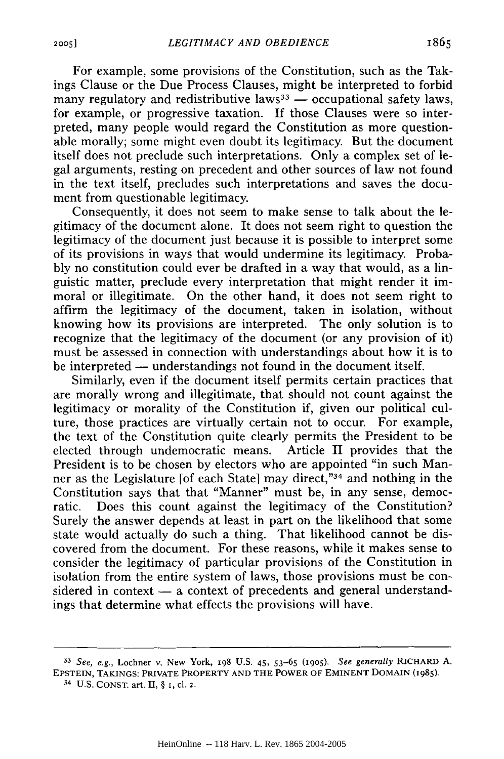For example, some provisions of the Constitution, such as the Takings Clause or the Due Process Clauses, might be interpreted to forbid many regulatory and redistributive laws<sup>33</sup>  $\rightarrow$  occupational safety laws, for example, or progressive taxation. If those Clauses were so interpreted, many people would regard the Constitution as more questionable morally; some might even doubt its legitimacy. But the document itself does not preclude such interpretations. Only a complex set of legal arguments, resting on precedent and other sources of law not found in the text itself, precludes such interpretations and saves the document from questionable legitimacy.

Consequently, it does not seem to make sense to talk about the legitimacy of the document alone. It does not seem right to question the legitimacy of the document just because it is possible to interpret some of its provisions in ways that would undermine its legitimacy. Probably no constitution could ever be drafted in a way that would, as a linguistic matter, preclude every interpretation that might render it immoral or illegitimate. On the other hand, it does not seem right to affirm the legitimacy of the document, taken in isolation, without knowing how its provisions are interpreted. The only solution is to recognize that the legitimacy of the document (or any provision of it) must be assessed in connection with understandings about how it is to be interpreted — understandings not found in the document itself.

Similarly, even if the document itself permits certain practices that are morally wrong and illegitimate, that should not count against the legitimacy or morality of the Constitution if, given our political culture, those practices are virtually certain not to occur. For example, the text of the Constitution quite clearly permits the President to be elected through undemocratic means. Article II provides that the President is to be chosen by electors who are appointed "in such Manner as the Legislature [of each State] may direct,"<sup>34</sup> and nothing in the Constitution says that that "Manner" must be, in any sense, democratic. Does this count against the legitimacy of the Constitution? Surely the answer depends at least in part on the likelihood that some state would actually do such a thing. That likelihood cannot be discovered from the document. For these reasons, while it makes sense to consider the legitimacy of particular provisions of the Constitution in isolation from the entire system of laws, those provisions must be considered in context  $-$  a context of precedents and general understandings that determine what effects the provisions will have.

**<sup>33</sup>**See, e.g., Lochner v. New York, 198 U.S. 45, 53-65 **(1905).** *See generally* RICHARD A. **EPSTEIN, TAKINGS:** PRIVATE PROPERTY **AND** THE POWER OF **EMINENT** DOMAIN (1985).

**<sup>34</sup>**U.S. CONST. art. II, § I, **c1.** 2.